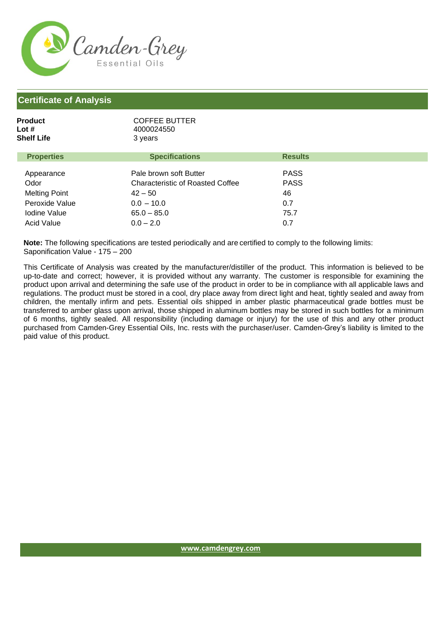

## **Certificate of Analysis**

| Product<br>Lot #<br>Shelf Life | <b>COFFEE BUTTER</b><br>4000024550<br>3 years                     |                            |  |
|--------------------------------|-------------------------------------------------------------------|----------------------------|--|
| <b>Properties</b>              | <b>Specifications</b>                                             | <b>Results</b>             |  |
| Appearance<br>Odor             | Pale brown soft Butter<br><b>Characteristic of Roasted Coffee</b> | <b>PASS</b><br><b>PASS</b> |  |
| <b>Melting Point</b>           | $42 - 50$                                                         | 46                         |  |
| Peroxide Value                 | $0.0 - 10.0$                                                      | 0.7                        |  |
| <b>Iodine Value</b>            | $65.0 - 85.0$                                                     | 75.7                       |  |
| <b>Acid Value</b>              | $0.0 - 2.0$                                                       | 0.7                        |  |

**Note:** The following specifications are tested periodically and are certified to comply to the following limits: Saponification Value - 175 – 200

This Certificate of Analysis was created by the manufacturer/distiller of the product. This information is believed to be up-to-date and correct; however, it is provided without any warranty. The customer is responsible for examining the product upon arrival and determining the safe use of the product in order to be in compliance with all applicable laws and regulations. The product must be stored in a cool, dry place away from direct light and heat, tightly sealed and away from children, the mentally infirm and pets. Essential oils shipped in amber plastic pharmaceutical grade bottles must be transferred to amber glass upon arrival, those shipped in aluminum bottles may be stored in such bottles for a minimum of 6 months, tightly sealed. All responsibility (including damage or injury) for the use of this and any other product purchased from Camden-Grey Essential Oils, Inc. rests with the purchaser/user. Camden-Grey's liability is limited to the paid value of this product.